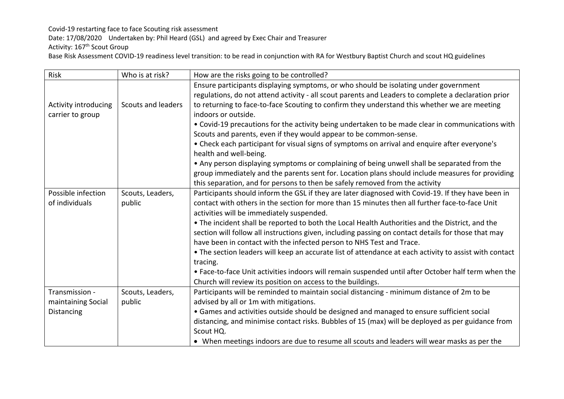Covid-19 restarting face to face Scouting risk assessment

Date: 17/08/2020 Undertaken by: Phil Heard (GSL) and agreed by Exec Chair and Treasurer

Activity: 167<sup>th</sup> Scout Group

Base Risk Assessment COVID-19 readiness level transition: to be read in conjunction with RA for Westbury Baptist Church and scout HQ guidelines

| Risk                 | Who is at risk?           | How are the risks going to be controlled?                                                                               |
|----------------------|---------------------------|-------------------------------------------------------------------------------------------------------------------------|
|                      |                           | Ensure participants displaying symptoms, or who should be isolating under government                                    |
|                      |                           | regulations, do not attend activity - all scout parents and Leaders to complete a declaration prior                     |
| Activity introducing | <b>Scouts and leaders</b> | to returning to face-to-face Scouting to confirm they understand this whether we are meeting                            |
| carrier to group     |                           | indoors or outside.                                                                                                     |
|                      |                           | • Covid-19 precautions for the activity being undertaken to be made clear in communications with                        |
|                      |                           | Scouts and parents, even if they would appear to be common-sense.                                                       |
|                      |                           | • Check each participant for visual signs of symptoms on arrival and enquire after everyone's<br>health and well-being. |
|                      |                           | • Any person displaying symptoms or complaining of being unwell shall be separated from the                             |
|                      |                           | group immediately and the parents sent for. Location plans should include measures for providing                        |
|                      |                           | this separation, and for persons to then be safely removed from the activity                                            |
| Possible infection   | Scouts, Leaders,          | Participants should inform the GSL if they are later diagnosed with Covid-19. If they have been in                      |
| of individuals       | public                    | contact with others in the section for more than 15 minutes then all further face-to-face Unit                          |
|                      |                           | activities will be immediately suspended.                                                                               |
|                      |                           | . The incident shall be reported to both the Local Health Authorities and the District, and the                         |
|                      |                           | section will follow all instructions given, including passing on contact details for those that may                     |
|                      |                           | have been in contact with the infected person to NHS Test and Trace.                                                    |
|                      |                           | • The section leaders will keep an accurate list of attendance at each activity to assist with contact                  |
|                      |                           | tracing.                                                                                                                |
|                      |                           | . Face-to-face Unit activities indoors will remain suspended until after October half term when the                     |
|                      |                           | Church will review its position on access to the buildings.                                                             |
| Transmission -       | Scouts, Leaders,          | Participants will be reminded to maintain social distancing - minimum distance of 2m to be                              |
| maintaining Social   | public                    | advised by all or 1m with mitigations.                                                                                  |
| Distancing           |                           | • Games and activities outside should be designed and managed to ensure sufficient social                               |
|                      |                           | distancing, and minimise contact risks. Bubbles of 15 (max) will be deployed as per guidance from                       |
|                      |                           | Scout HQ.                                                                                                               |
|                      |                           | • When meetings indoors are due to resume all scouts and leaders will wear masks as per the                             |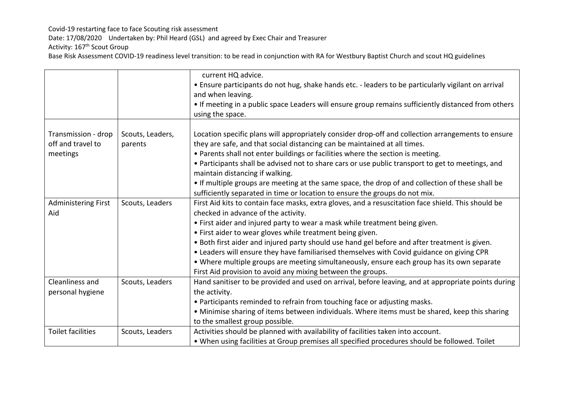Covid-19 restarting face to face Scouting risk assessment

Date: 17/08/2020 Undertaken by: Phil Heard (GSL) and agreed by Exec Chair and Treasurer

Activity: 167<sup>th</sup> Scout Group

Base Risk Assessment COVID-19 readiness level transition: to be read in conjunction with RA for Westbury Baptist Church and scout HQ guidelines

|                                                      |                             | current HQ advice.<br>• Ensure participants do not hug, shake hands etc. - leaders to be particularly vigilant on arrival<br>and when leaving.<br>• If meeting in a public space Leaders will ensure group remains sufficiently distanced from others<br>using the space.                                                                                                                                                                                                                                                                                                                                                                         |
|------------------------------------------------------|-----------------------------|---------------------------------------------------------------------------------------------------------------------------------------------------------------------------------------------------------------------------------------------------------------------------------------------------------------------------------------------------------------------------------------------------------------------------------------------------------------------------------------------------------------------------------------------------------------------------------------------------------------------------------------------------|
| Transmission - drop<br>off and travel to<br>meetings | Scouts, Leaders,<br>parents | Location specific plans will appropriately consider drop-off and collection arrangements to ensure<br>they are safe, and that social distancing can be maintained at all times.<br>. Parents shall not enter buildings or facilities where the section is meeting.<br>• Participants shall be advised not to share cars or use public transport to get to meetings, and<br>maintain distancing if walking.<br>• If multiple groups are meeting at the same space, the drop of and collection of these shall be<br>sufficiently separated in time or location to ensure the groups do not mix.                                                     |
| <b>Administering First</b><br>Aid                    | Scouts, Leaders             | First Aid kits to contain face masks, extra gloves, and a resuscitation face shield. This should be<br>checked in advance of the activity.<br>• First aider and injured party to wear a mask while treatment being given.<br>• First aider to wear gloves while treatment being given.<br>. Both first aider and injured party should use hand gel before and after treatment is given.<br>. Leaders will ensure they have familiarised themselves with Covid guidance on giving CPR<br>• Where multiple groups are meeting simultaneously, ensure each group has its own separate<br>First Aid provision to avoid any mixing between the groups. |
| Cleanliness and<br>personal hygiene                  | Scouts, Leaders             | Hand sanitiser to be provided and used on arrival, before leaving, and at appropriate points during<br>the activity.<br>• Participants reminded to refrain from touching face or adjusting masks.<br>• Minimise sharing of items between individuals. Where items must be shared, keep this sharing<br>to the smallest group possible.                                                                                                                                                                                                                                                                                                            |
| <b>Toilet facilities</b>                             | Scouts, Leaders             | Activities should be planned with availability of facilities taken into account.<br>. When using facilities at Group premises all specified procedures should be followed. Toilet                                                                                                                                                                                                                                                                                                                                                                                                                                                                 |